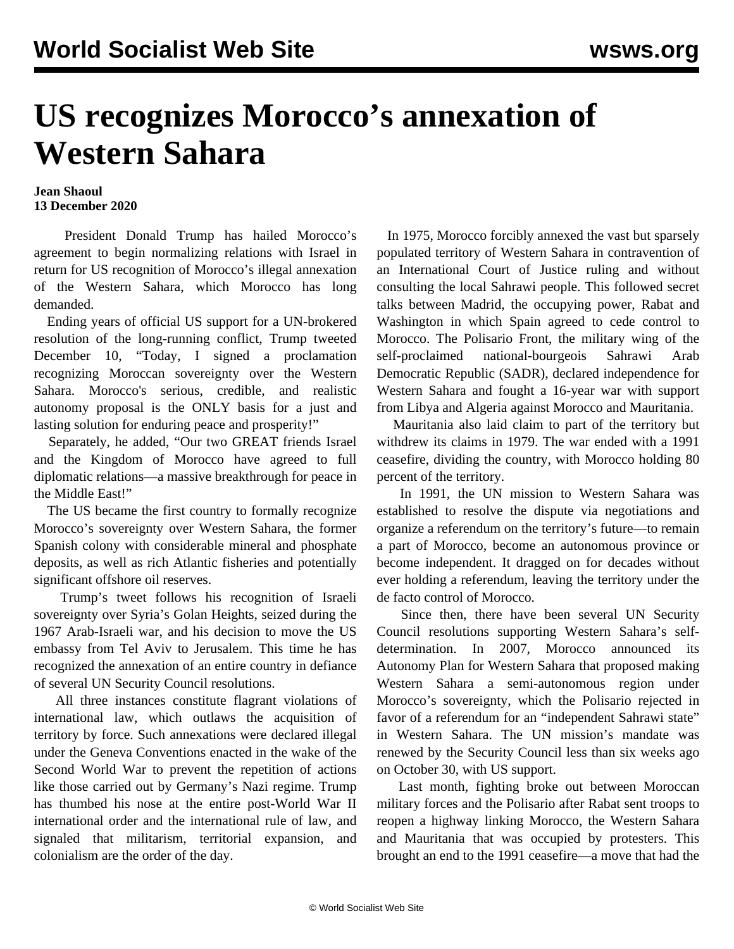## **US recognizes Morocco's annexation of Western Sahara**

## **Jean Shaoul 13 December 2020**

 President Donald Trump has hailed Morocco's agreement to begin normalizing relations with Israel in return for US recognition of Morocco's illegal annexation of the Western Sahara, which Morocco has long demanded.

 Ending years of official US support for a UN-brokered resolution of the long-running conflict, Trump tweeted December 10, "Today, I signed a proclamation recognizing Moroccan sovereignty over the Western Sahara. Morocco's serious, credible, and realistic autonomy proposal is the ONLY basis for a just and lasting solution for enduring peace and prosperity!"

 Separately, he added, "Our two GREAT friends Israel and the Kingdom of Morocco have agreed to full diplomatic relations—a massive breakthrough for peace in the Middle East!"

 The US became the first country to formally recognize Morocco's sovereignty over Western Sahara, the former Spanish colony with considerable mineral and phosphate deposits, as well as rich Atlantic fisheries and potentially significant offshore oil reserves.

 Trump's tweet follows his recognition of Israeli sovereignty over Syria's Golan Heights, seized during the 1967 Arab-Israeli war, and his decision to move the US embassy from Tel Aviv to Jerusalem. This time he has recognized the annexation of an entire country in defiance of several UN Security Council resolutions.

 All three instances constitute flagrant violations of international law, which outlaws the acquisition of territory by force. Such annexations were declared illegal under the Geneva Conventions enacted in the wake of the Second World War to prevent the repetition of actions like those carried out by Germany's Nazi regime. Trump has thumbed his nose at the entire post-World War II international order and the international rule of law, and signaled that militarism, territorial expansion, and colonialism are the order of the day.

 In 1975, Morocco forcibly annexed the vast but sparsely populated territory of Western Sahara in contravention of an International Court of Justice ruling and without consulting the local Sahrawi people. This followed secret talks between Madrid, the occupying power, Rabat and Washington in which Spain agreed to cede control to Morocco. The Polisario Front, the military wing of the self-proclaimed national-bourgeois Sahrawi Arab Democratic Republic (SADR), declared independence for Western Sahara and fought a 16-year war with support from Libya and Algeria against Morocco and Mauritania.

 Mauritania also laid claim to part of the territory but withdrew its claims in 1979. The war ended with a 1991 ceasefire, dividing the country, with Morocco holding 80 percent of the territory.

 In 1991, the UN mission to Western Sahara was established to resolve the dispute via negotiations and organize a referendum on the territory's future—to remain a part of Morocco, become an autonomous province or become independent. It dragged on for decades without ever holding a referendum, leaving the territory under the de facto control of Morocco.

 Since then, there have been several UN Security Council resolutions supporting Western Sahara's selfdetermination. In 2007, Morocco announced its Autonomy Plan for Western Sahara that proposed making Western Sahara a semi-autonomous region under Morocco's sovereignty, which the Polisario rejected in favor of a referendum for an "independent Sahrawi state" in Western Sahara. The UN mission's mandate was renewed by the Security Council less than six weeks ago on October 30, with US support.

 Last month, fighting broke out between Moroccan military forces and the Polisario after Rabat sent troops to reopen a highway linking Morocco, the Western Sahara and Mauritania that was occupied by protesters. This brought an end to the 1991 ceasefire—a move that had the